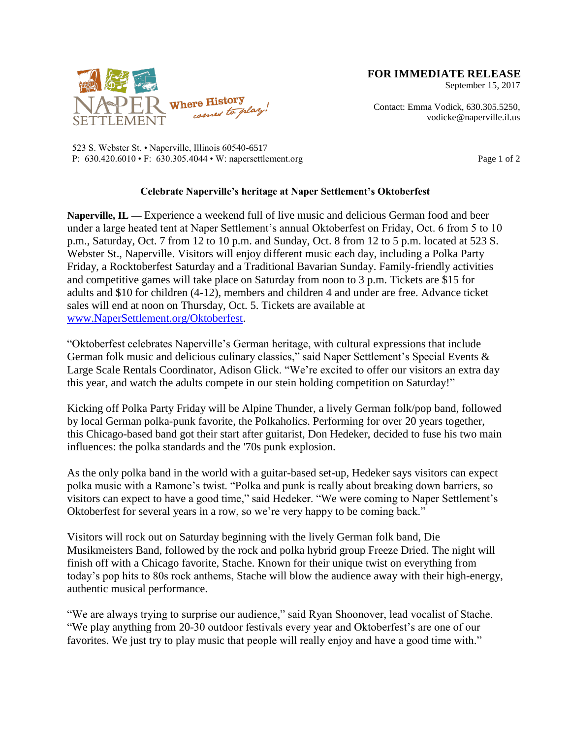

September 15, 2017

Contact: Emma Vodick, 630.305.5250, vodicke@naperville.il.us

523 S. Webster St. • Naperville, Illinois 60540-6517 P: 630.420.6010 • F: 630.305.4044 • W: napersettlement.org Page 1 of 2

## **Celebrate Naperville's heritage at Naper Settlement's Oktoberfest**

**Naperville, IL —** Experience a weekend full of live music and delicious German food and beer under a large heated tent at Naper Settlement's annual Oktoberfest on Friday, Oct. 6 from 5 to 10 p.m., Saturday, Oct. 7 from 12 to 10 p.m. and Sunday, Oct. 8 from 12 to 5 p.m. located at 523 S. Webster St., Naperville. Visitors will enjoy different music each day, including a Polka Party Friday, a Rocktoberfest Saturday and a Traditional Bavarian Sunday. Family-friendly activities and competitive games will take place on Saturday from noon to 3 p.m. Tickets are \$15 for adults and \$10 for children (4-12), members and children 4 and under are free. Advance ticket sales will end at noon on Thursday, Oct. 5. Tickets are available at [www.NaperSettlement.org/Oktoberfest.](http://www.napersettlement.org/Oktoberfest)

"Oktoberfest celebrates Naperville's German heritage, with cultural expressions that include German folk music and delicious culinary classics," said Naper Settlement's Special Events & Large Scale Rentals Coordinator, Adison Glick. "We're excited to offer our visitors an extra day this year, and watch the adults compete in our stein holding competition on Saturday!"

Kicking off Polka Party Friday will be Alpine Thunder, a lively German folk/pop band, followed by local German polka-punk favorite, the Polkaholics. Performing for over 20 years together, this Chicago-based band got their start after guitarist, Don Hedeker, decided to fuse his two main influences: the polka standards and the '70s punk explosion.

As the only polka band in the world with a guitar-based set-up, Hedeker says visitors can expect polka music with a Ramone's twist. "Polka and punk is really about breaking down barriers, so visitors can expect to have a good time," said Hedeker. "We were coming to Naper Settlement's Oktoberfest for several years in a row, so we're very happy to be coming back."

Visitors will rock out on Saturday beginning with the lively German folk band, Die Musikmeisters Band, followed by the rock and polka hybrid group Freeze Dried. The night will finish off with a Chicago favorite, Stache. Known for their unique twist on everything from today's pop hits to 80s rock anthems, Stache will blow the audience away with their high-energy, authentic musical performance.

"We are always trying to surprise our audience," said Ryan Shoonover, lead vocalist of Stache. "We play anything from 20-30 outdoor festivals every year and Oktoberfest's are one of our favorites. We just try to play music that people will really enjoy and have a good time with."